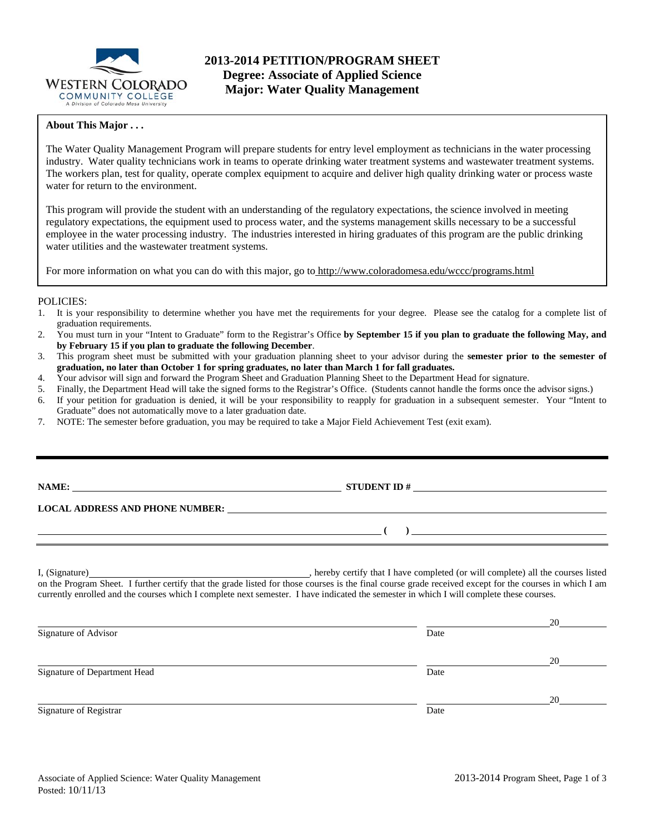

### **About This Major . . .**

The Water Quality Management Program will prepare students for entry level employment as technicians in the water processing industry. Water quality technicians work in teams to operate drinking water treatment systems and wastewater treatment systems. The workers plan, test for quality, operate complex equipment to acquire and deliver high quality drinking water or process waste water for return to the environment.

This program will provide the student with an understanding of the regulatory expectations, the science involved in meeting regulatory expectations, the equipment used to process water, and the systems management skills necessary to be a successful employee in the water processing industry. The industries interested in hiring graduates of this program are the public drinking water utilities and the wastewater treatment systems.

For more information on what you can do with this major, go to http://www.coloradomesa.edu/wccc/programs.html

### POLICIES:

- 1. It is your responsibility to determine whether you have met the requirements for your degree. Please see the catalog for a complete list of graduation requirements.
- 2. You must turn in your "Intent to Graduate" form to the Registrar's Office **by September 15 if you plan to graduate the following May, and by February 15 if you plan to graduate the following December**.
- 3. This program sheet must be submitted with your graduation planning sheet to your advisor during the **semester prior to the semester of graduation, no later than October 1 for spring graduates, no later than March 1 for fall graduates.**
- 4. Your advisor will sign and forward the Program Sheet and Graduation Planning Sheet to the Department Head for signature.
- 5. Finally, the Department Head will take the signed forms to the Registrar's Office. (Students cannot handle the forms once the advisor signs.)
- 6. If your petition for graduation is denied, it will be your responsibility to reapply for graduation in a subsequent semester. Your "Intent to Graduate" does not automatically move to a later graduation date.
- 7. NOTE: The semester before graduation, you may be required to take a Major Field Achievement Test (exit exam).

**NAME: STUDENT ID #** 

 **( )** 

# **LOCAL ADDRESS AND PHONE NUMBER:**

I, (Signature) , hereby certify that I have completed (or will complete) all the courses listed on the Program Sheet. I further certify that the grade listed for those courses is the final course grade received except for the courses in which I am currently enrolled and the courses which I complete next semester. I have indicated the semester in which I will complete these courses.

|                              |      | 20 |
|------------------------------|------|----|
| Signature of Advisor         | Date |    |
|                              |      | 20 |
| Signature of Department Head | Date |    |
|                              |      | 20 |
| Signature of Registrar       | Date |    |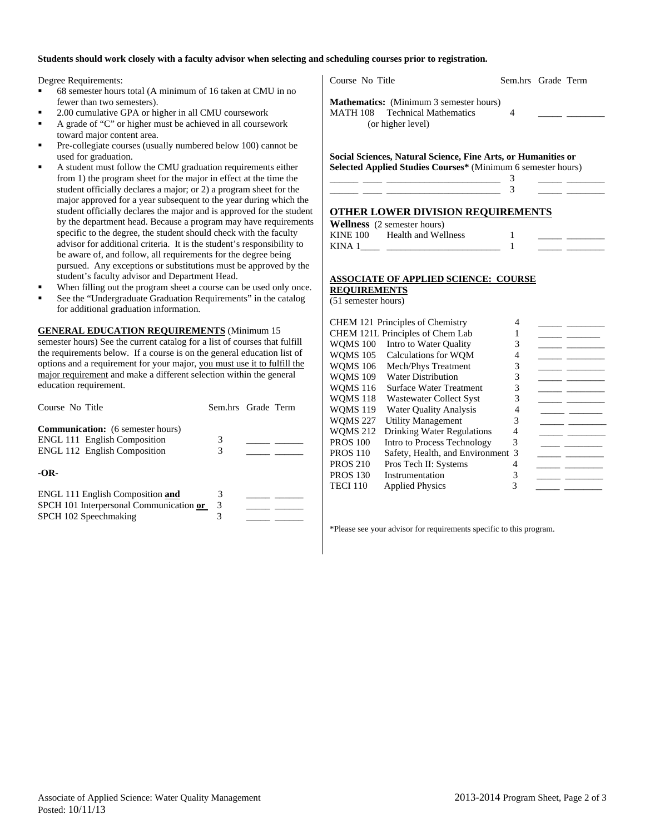### **Students should work closely with a faculty advisor when selecting and scheduling courses prior to registration.**

Degree Requirements:

- 68 semester hours total (A minimum of 16 taken at CMU in no fewer than two semesters).
- 2.00 cumulative GPA or higher in all CMU coursework
- A grade of "C" or higher must be achieved in all coursework toward major content area.
- Pre-collegiate courses (usually numbered below 100) cannot be used for graduation.
- A student must follow the CMU graduation requirements either from 1) the program sheet for the major in effect at the time the student officially declares a major; or 2) a program sheet for the major approved for a year subsequent to the year during which the student officially declares the major and is approved for the student by the department head. Because a program may have requirements specific to the degree, the student should check with the faculty advisor for additional criteria. It is the student's responsibility to be aware of, and follow, all requirements for the degree being pursued. Any exceptions or substitutions must be approved by the student's faculty advisor and Department Head.
- When filling out the program sheet a course can be used only once.
- See the "Undergraduate Graduation Requirements" in the catalog for additional graduation information.

**GENERAL EDUCATION REQUIREMENTS** (Minimum 15 semester hours) See the current catalog for a list of courses that fulfill the requirements below. If a course is on the general education list of options and a requirement for your major, you must use it to fulfill the major requirement and make a different selection within the general education requirement.

| Course No Title                                                                                                        | Sem.hrs Grade Term |  |
|------------------------------------------------------------------------------------------------------------------------|--------------------|--|
| <b>Communication:</b> (6 semester hours)<br><b>ENGL 111 English Composition</b><br><b>ENGL 112 English Composition</b> | 3<br>3             |  |
| $-OR-$                                                                                                                 |                    |  |
| ENGL 111 English Composition and<br>SPCH 101 Interpersonal Communication or<br>SPCH 102 Speechmaking                   | 3<br>3             |  |

Course No Title Sem.hrs Grade Term **Mathematics:** (Minimum 3 semester hours) MATH 108 Technical Mathematics 4 (or higher level) **Social Sciences, Natural Science, Fine Arts, or Humanities or**  Selected Applied Studies Courses\* (Minimum 6 semester hours)<br>
<u>———————————————————</u>——<sup>3</sup> \_\_\_\_\_\_ \_\_\_\_ \_\_\_\_\_\_\_\_\_\_\_\_\_\_\_\_\_\_\_\_\_\_\_\_ 3 \_\_\_\_\_ \_\_\_\_\_\_\_\_ \_\_\_\_\_\_ \_\_\_\_ \_\_\_\_\_\_\_\_\_\_\_\_\_\_\_\_\_\_\_\_\_\_\_\_ 3 \_\_\_\_\_ \_\_\_\_\_\_\_\_ **OTHER LOWER DIVISION REQUIREMENTS Wellness** (2 semester hours) KINE 100 Health and Wellness 1 KINA  $1 \qquad \qquad$   $\qquad \qquad$  1 **ASSOCIATE OF APPLIED SCIENCE: COURSE** 

# **REQUIREMENTS**

(51 semester hours)

|                 | CHEM 121 Principles of Chemistry  | 4 |  |
|-----------------|-----------------------------------|---|--|
|                 | CHEM 121L Principles of Chem Lab  |   |  |
| <b>WOMS 100</b> | Intro to Water Quality            |   |  |
| <b>WOMS 105</b> | Calculations for WOM              |   |  |
| <b>WOMS 106</b> | Mech/Phys Treatment               |   |  |
| <b>WOMS 109</b> | <b>Water Distribution</b>         | 3 |  |
| <b>WOMS 116</b> | <b>Surface Water Treatment</b>    |   |  |
| <b>WOMS 118</b> | <b>Wastewater Collect Syst</b>    |   |  |
| <b>WOMS 119</b> | <b>Water Quality Analysis</b>     |   |  |
| <b>WOMS 227</b> | Utility Management                | 3 |  |
| <b>WOMS 212</b> | <b>Drinking Water Regulations</b> |   |  |
| <b>PROS</b> 100 | Intro to Process Technology       | 3 |  |
| <b>PROS 110</b> | Safety, Health, and Environment 3 |   |  |
| <b>PROS 210</b> | Pros Tech II: Systems             |   |  |
| <b>PROS 130</b> | Instrumentation                   |   |  |
| <b>TECI 110</b> | <b>Applied Physics</b>            |   |  |
|                 |                                   |   |  |

\*Please see your advisor for requirements specific to this program.